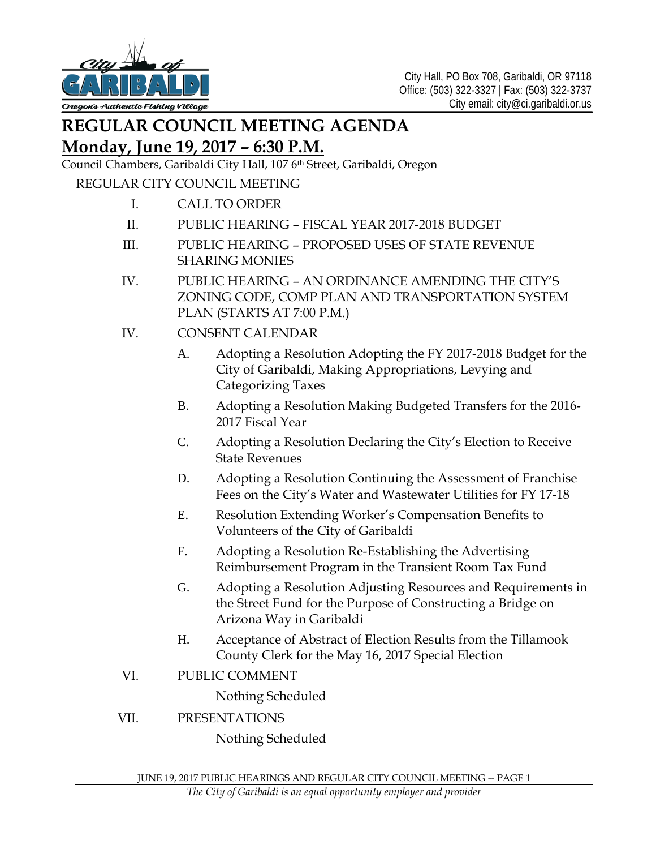

## **REGULAR COUNCIL MEETING AGENDA Monday, June 19, 2017 – 6:30 P.M.**

## Council Chambers, Garibaldi City Hall, 107 6<sup>th</sup> Street, Garibaldi, Oregon

## REGULAR CITY COUNCIL MEETING

- I. CALL TO ORDER
- II. PUBLIC HEARING FISCAL YEAR 2017-2018 BUDGET
- III. PUBLIC HEARING PROPOSED USES OF STATE REVENUE SHARING MONIES
- IV. PUBLIC HEARING AN ORDINANCE AMENDING THE CITY'S ZONING CODE, COMP PLAN AND TRANSPORTATION SYSTEM PLAN (STARTS AT 7:00 P.M.)
- IV. CONSENT CALENDAR
	- A. Adopting a Resolution Adopting the FY 2017-2018 Budget for the City of Garibaldi, Making Appropriations, Levying and Categorizing Taxes
	- B. Adopting a Resolution Making Budgeted Transfers for the 2016- 2017 Fiscal Year
	- C. Adopting a Resolution Declaring the City's Election to Receive State Revenues
	- D. Adopting a Resolution Continuing the Assessment of Franchise Fees on the City's Water and Wastewater Utilities for FY 17-18
	- E. Resolution Extending Worker's Compensation Benefits to Volunteers of the City of Garibaldi
	- F. Adopting a Resolution Re-Establishing the Advertising Reimbursement Program in the Transient Room Tax Fund
	- G. Adopting a Resolution Adjusting Resources and Requirements in the Street Fund for the Purpose of Constructing a Bridge on Arizona Way in Garibaldi
	- H. Acceptance of Abstract of Election Results from the Tillamook County Clerk for the May 16, 2017 Special Election
- VI. PUBLIC COMMENT

Nothing Scheduled

VII. PRESENTATIONS

Nothing Scheduled